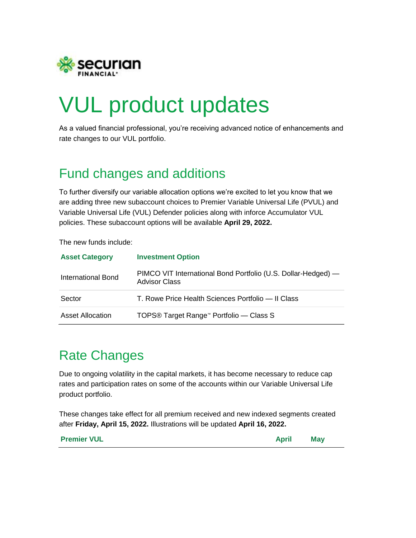

# VUL product updates

As a valued financial professional, you're receiving advanced notice of enhancements and rate changes to our VUL portfolio.

## Fund changes and additions

To further diversify our variable allocation options we're excited to let you know that we are adding three new subaccount choices to Premier Variable Universal Life (PVUL) and Variable Universal Life (VUL) Defender policies along with inforce Accumulator VUL policies. These subaccount options will be available **April 29, 2022.**

The new funds include:

| <b>Asset Category</b>   | <b>Investment Option</b>                                                              |
|-------------------------|---------------------------------------------------------------------------------------|
| International Bond      | PIMCO VIT International Bond Portfolio (U.S. Dollar-Hedged) —<br><b>Advisor Class</b> |
| Sector                  | T. Rowe Price Health Sciences Portfolio — Il Class                                    |
| <b>Asset Allocation</b> | TOPS <sup>®</sup> Target Range <sup>™</sup> Portfolio — Class S                       |

### Rate Changes

Due to ongoing volatility in the capital markets, it has become necessary to reduce cap rates and participation rates on some of the accounts within our Variable Universal Life product portfolio.

These changes take effect for all premium received and new indexed segments created after **Friday, April 15, 2022.** Illustrations will be updated **April 16, 2022.**

**Premier VUL May**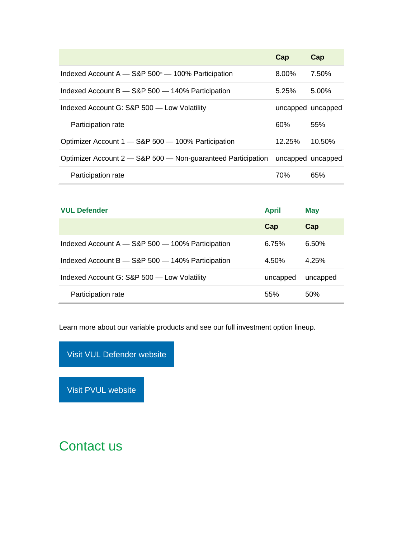|                                                                     | Cap               | Cap       |
|---------------------------------------------------------------------|-------------------|-----------|
| Indexed Account $A - S\&P 500$ <sup>®</sup> $- 100\%$ Participation | 8.00%             | 7.50%     |
| Indexed Account $B - S\&P 500 - 140\%$ Participation                | 5.25%             | $5.00\%$  |
| Indexed Account G: S&P 500 - Low Volatility                         | uncapped uncapped |           |
|                                                                     |                   |           |
| Participation rate                                                  | 60%               | 55%       |
| Optimizer Account 1 - S&P 500 - 100% Participation                  | 12.25%            | $10.50\%$ |
| Optimizer Account 2 - S&P 500 - Non-guaranteed Participation        | uncapped uncapped |           |

| <b>VUL Defender</b>                                  | <b>April</b> | <b>May</b> |
|------------------------------------------------------|--------------|------------|
|                                                      | Cap          | Cap        |
| Indexed Account A - S&P 500 - 100% Participation     | 6.75%        | 6.50%      |
| Indexed Account $B - S\&P 500 - 140\%$ Participation | 4.50%        | 4.25%      |
| Indexed Account G: S&P 500 - Low Volatility          | uncapped     | uncapped   |
| Participation rate                                   | 55%          | 50%        |

Learn more about our variable products and see our full investment option lineup.

Visit VUL [Defender](http://click.email.securian.com/?qs=075127ea6d00798e8c702db9344261450a2999db2fc1a74d65d7a9f099a3184162952834811552dabc0abe64563bae3d6b036fc6802367ac) website

Visit PVUL [website](http://click.email.securian.com/?qs=075127ea6d00798e1dbc9e576ac90e45e88fae13bb56a2002197f9ef170bae30e4a37083aeda9889d44417bcc5405160ea5d2b8e1f49a434)

Contact us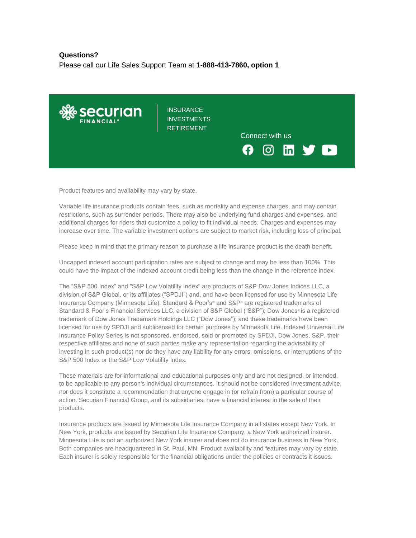#### **Questions?**

Please call our Life Sales Support Team at **1-888-413-7860, option 1**



Product features and availability may vary by state.

Variable life insurance products contain fees, such as mortality and expense charges, and may contain restrictions, such as surrender periods. There may also be underlying fund charges and expenses, and additional charges for riders that customize a policy to fit individual needs. Charges and expenses may increase over time. The variable investment options are subject to market risk, including loss of principal.

Please keep in mind that the primary reason to purchase a life insurance product is the death benefit.

Uncapped indexed account participation rates are subject to change and may be less than 100%. This could have the impact of the indexed account credit being less than the change in the reference index.

The "S&P 500 Index" and "S&P Low Volatility Index" are products of S&P Dow Jones Indices LLC, a division of S&P Global, or its affiliates ("SPDJI") and, and have been licensed for use by Minnesota Life Insurance Company (Minnesota Life). Standard & Poor's® and S&P® are registered trademarks of Standard & Poor's Financial Services LLC, a division of S&P Global ("S&P"); Dow Jones® is a registered trademark of Dow Jones Trademark Holdings LLC ("Dow Jones"); and these trademarks have been licensed for use by SPDJI and sublicensed for certain purposes by Minnesota Life. Indexed Universal Life Insurance Policy Series is not sponsored, endorsed, sold or promoted by SPDJI, Dow Jones, S&P, their respective affiliates and none of such parties make any representation regarding the advisability of investing in such product(s) nor do they have any liability for any errors, omissions, or interruptions of the S&P 500 Index or the S&P Low Volatility Index.

These materials are for informational and educational purposes only and are not designed, or intended, to be applicable to any person's individual circumstances. It should not be considered investment advice, nor does it constitute a recommendation that anyone engage in (or refrain from) a particular course of action. Securian Financial Group, and its subsidiaries, have a financial interest in the sale of their products.

Insurance products are issued by Minnesota Life Insurance Company in all states except New York. In New York, products are issued by Securian Life Insurance Company, a New York authorized insurer. Minnesota Life is not an authorized New York insurer and does not do insurance business in New York. Both companies are headquartered in St. Paul, MN. Product availability and features may vary by state. Each insurer is solely responsible for the financial obligations under the policies or contracts it issues.